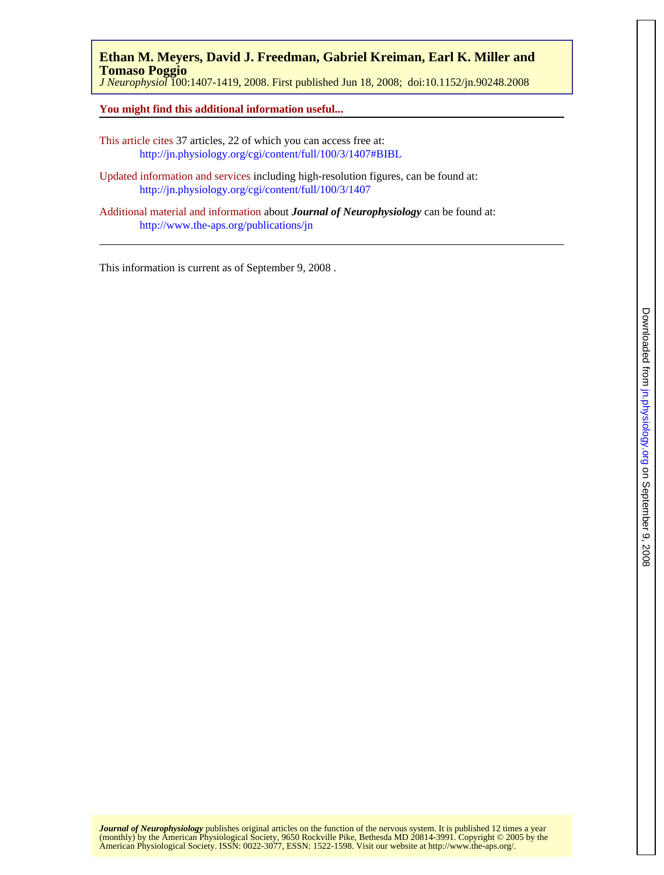**Tomaso Poggio Ethan M. Meyers, David J. Freedman, Gabriel Kreiman, Earl K. Miller and**

*J Neurophysiol* 100:1407-1419, 2008. First published Jun 18, 2008; doi:10.1152/jn.90248.2008

**You might find this additional information useful...**

- This article cites 37 articles, 22 of which you can access free at: <http://jn.physiology.org/cgi/content/full/100/3/1407#BIBL>
- Updated information and services including high-resolution figures, can be found at: <http://jn.physiology.org/cgi/content/full/100/3/1407>
- Additional material and information about *Journal of Neurophysiology* can be found at: <http://www.the-aps.org/publications/jn>

This information is current as of September 9, 2008 .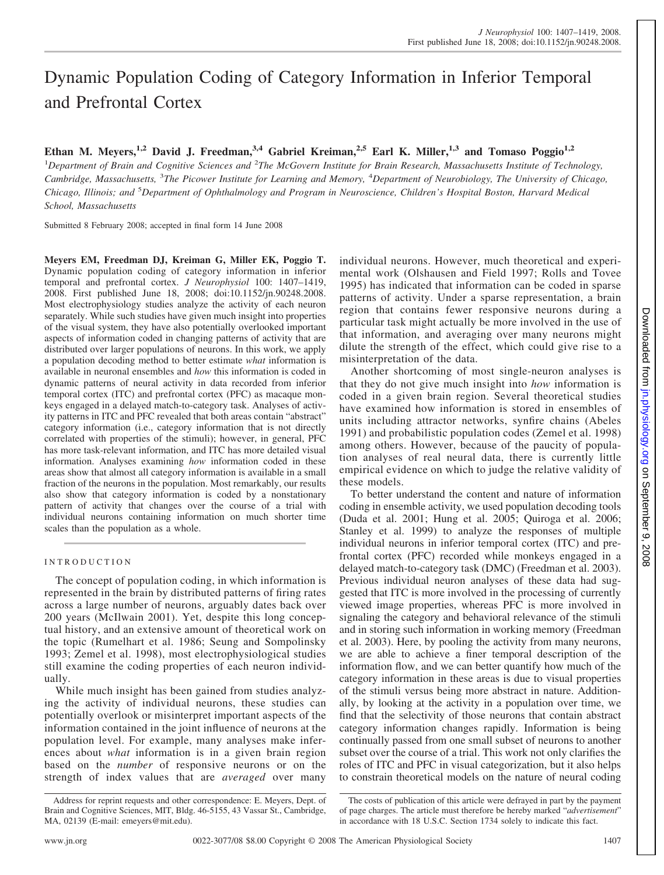# Dynamic Population Coding of Category Information in Inferior Temporal and Prefrontal Cortex

# Ethan M. Meyers,<sup>1,2</sup> David J. Freedman,<sup>3,4</sup> Gabriel Kreiman,<sup>2,5</sup> Earl K. Miller,<sup>1,3</sup> and Tomaso Poggio<sup>1,2</sup>

<sup>1</sup>Department of Brain and Cognitive Sciences and <sup>2</sup>The McGovern Institute for Brain Research, Massachusetts Institute of Technology, Cambridge, Massachusetts, <sup>3</sup>The Picower Institute for Learning and Memory, <sup>4</sup>Department of Neurobiology, The University of Chicago, Chicago, Illinois; and <sup>5</sup>Department of Ophthalmology and Program in Neuroscience, Children's Hospital Boston, Harvard Medical *School, Massachusetts*

Submitted 8 February 2008; accepted in final form 14 June 2008

**Meyers EM, Freedman DJ, Kreiman G, Miller EK, Poggio T.** Dynamic population coding of category information in inferior temporal and prefrontal cortex. *J Neurophysiol* 100: 1407–1419, 2008. First published June 18, 2008; doi:10.1152/jn.90248.2008. Most electrophysiology studies analyze the activity of each neuron separately. While such studies have given much insight into properties of the visual system, they have also potentially overlooked important aspects of information coded in changing patterns of activity that are distributed over larger populations of neurons. In this work, we apply a population decoding method to better estimate *what* information is available in neuronal ensembles and *how* this information is coded in dynamic patterns of neural activity in data recorded from inferior temporal cortex (ITC) and prefrontal cortex (PFC) as macaque monkeys engaged in a delayed match-to-category task. Analyses of activity patterns in ITC and PFC revealed that both areas contain "abstract" category information (i.e., category information that is not directly correlated with properties of the stimuli); however, in general, PFC has more task-relevant information, and ITC has more detailed visual information. Analyses examining *how* information coded in these areas show that almost all category information is available in a small fraction of the neurons in the population. Most remarkably, our results also show that category information is coded by a nonstationary pattern of activity that changes over the course of a trial with individual neurons containing information on much shorter time scales than the population as a whole.

## INTRODUCTION

The concept of population coding, in which information is represented in the brain by distributed patterns of firing rates across a large number of neurons, arguably dates back over 200 years (McIlwain 2001). Yet, despite this long conceptual history, and an extensive amount of theoretical work on the topic (Rumelhart et al. 1986; Seung and Sompolinsky 1993; Zemel et al. 1998), most electrophysiological studies still examine the coding properties of each neuron individually.

While much insight has been gained from studies analyzing the activity of individual neurons, these studies can potentially overlook or misinterpret important aspects of the information contained in the joint influence of neurons at the population level. For example, many analyses make inferences about *what* information is in a given brain region based on the *number* of responsive neurons or on the strength of index values that are *averaged* over many

individual neurons. However, much theoretical and experimental work (Olshausen and Field 1997; Rolls and Tovee 1995) has indicated that information can be coded in sparse patterns of activity. Under a sparse representation, a brain region that contains fewer responsive neurons during a particular task might actually be more involved in the use of that information, and averaging over many neurons might dilute the strength of the effect, which could give rise to a misinterpretation of the data.

Another shortcoming of most single-neuron analyses is that they do not give much insight into *how* information is coded in a given brain region. Several theoretical studies have examined how information is stored in ensembles of units including attractor networks, synfire chains (Abeles 1991) and probabilistic population codes (Zemel et al. 1998) among others. However, because of the paucity of population analyses of real neural data, there is currently little empirical evidence on which to judge the relative validity of these models.

To better understand the content and nature of information coding in ensemble activity, we used population decoding tools (Duda et al. 2001; Hung et al. 2005; Quiroga et al. 2006; Stanley et al. 1999) to analyze the responses of multiple individual neurons in inferior temporal cortex (ITC) and prefrontal cortex (PFC) recorded while monkeys engaged in a delayed match-to-category task (DMC) (Freedman et al. 2003). Previous individual neuron analyses of these data had suggested that ITC is more involved in the processing of currently viewed image properties, whereas PFC is more involved in signaling the category and behavioral relevance of the stimuli and in storing such information in working memory (Freedman et al. 2003). Here, by pooling the activity from many neurons, we are able to achieve a finer temporal description of the information flow, and we can better quantify how much of the category information in these areas is due to visual properties of the stimuli versus being more abstract in nature. Additionally, by looking at the activity in a population over time, we find that the selectivity of those neurons that contain abstract category information changes rapidly. Information is being continually passed from one small subset of neurons to another subset over the course of a trial. This work not only clarifies the roles of ITC and PFC in visual categorization, but it also helps to constrain theoretical models on the nature of neural coding

Address for reprint requests and other correspondence: E. Meyers, Dept. of Brain and Cognitive Sciences, MIT, Bldg. 46-5155, 43 Vassar St., Cambridge, MA, 02139 (E-mail: emeyers@mit.edu).

The costs of publication of this article were defrayed in part by the payment of page charges. The article must therefore be hereby marked "*advertisement*" in accordance with 18 U.S.C. Section 1734 solely to indicate this fact.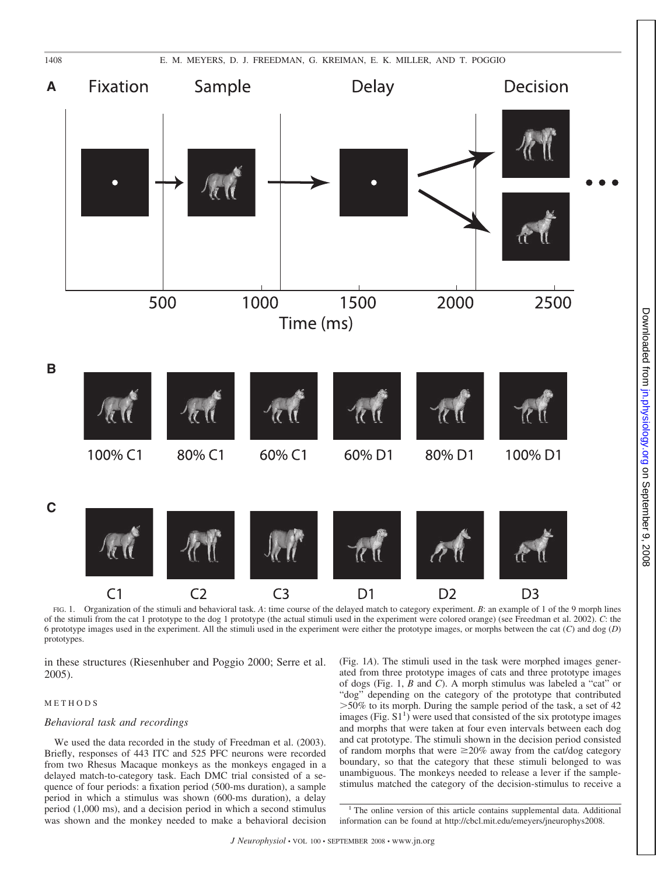

FIG. 1. Organization of the stimuli and behavioral task. *A*: time course of the delayed match to category experiment. *B*: an example of 1 of the 9 morph lines of the stimuli from the cat 1 prototype to the dog 1 prototype (the actual stimuli used in the experiment were colored orange) (see Freedman et al. 2002). *C*: the 6 prototype images used in the experiment. All the stimuli used in the experiment were either the prototype images, or morphs between the cat (*C*) and dog (*D*) prototypes.

in these structures (Riesenhuber and Poggio 2000; Serre et al. 2005).

# METHODS

## *Behavioral task and recordings*

We used the data recorded in the study of Freedman et al. (2003). Briefly, responses of 443 ITC and 525 PFC neurons were recorded from two Rhesus Macaque monkeys as the monkeys engaged in a delayed match-to-category task. Each DMC trial consisted of a sequence of four periods: a fixation period (500-ms duration), a sample period in which a stimulus was shown (600-ms duration), a delay period (1,000 ms), and a decision period in which a second stimulus was shown and the monkey needed to make a behavioral decision

(Fig. 1*A*). The stimuli used in the task were morphed images generated from three prototype images of cats and three prototype images of dogs (Fig. 1, *B* and *C*). A morph stimulus was labeled a "cat" or "dog" depending on the category of the prototype that contributed 50% to its morph. During the sample period of the task, a set of 42 images (Fig.  $S1<sup>1</sup>$ ) were used that consisted of the six prototype images and morphs that were taken at four even intervals between each dog and cat prototype. The stimuli shown in the decision period consisted of random morphs that were  $\geq$ 20% away from the cat/dog category boundary, so that the category that these stimuli belonged to was unambiguous. The monkeys needed to release a lever if the samplestimulus matched the category of the decision-stimulus to receive a

 $<sup>1</sup>$  The online version of this article contains supplemental data. Additional</sup> information can be found at http://cbcl.mit.edu/emeyers/jneurophys2008.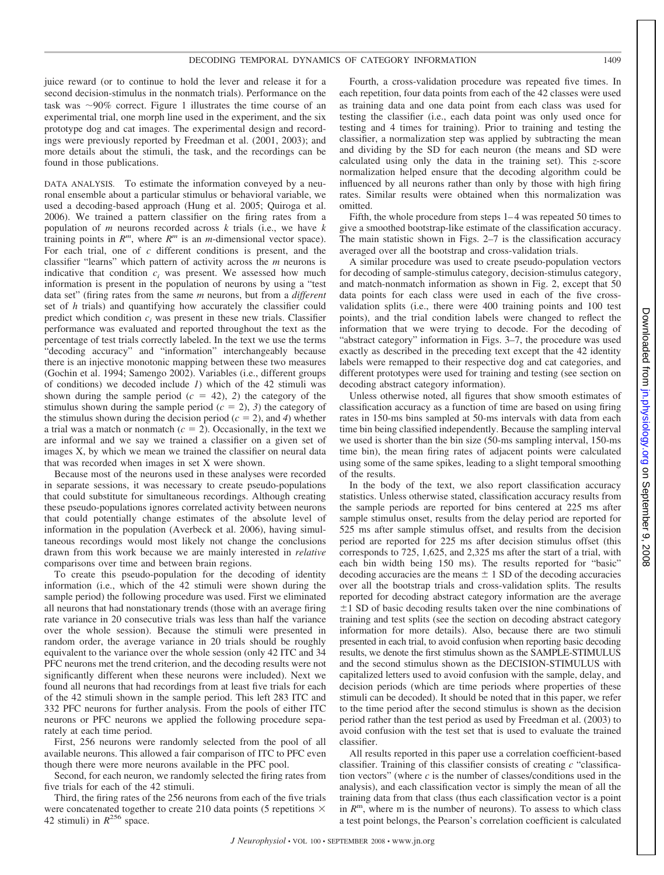juice reward (or to continue to hold the lever and release it for a second decision-stimulus in the nonmatch trials). Performance on the task was  $\sim$ 90% correct. Figure 1 illustrates the time course of an experimental trial, one morph line used in the experiment, and the six prototype dog and cat images. The experimental design and recordings were previously reported by Freedman et al. (2001, 2003); and more details about the stimuli, the task, and the recordings can be found in those publications.

DATA ANALYSIS. To estimate the information conveyed by a neuronal ensemble about a particular stimulus or behavioral variable, we used a decoding-based approach (Hung et al. 2005; Quiroga et al. 2006). We trained a pattern classifier on the firing rates from a population of *m* neurons recorded across *k* trials (i.e., we have *k* training points in  $R^m$ , where  $R^m$  is an *m*-dimensional vector space). For each trial, one of *c* different conditions is present, and the classifier "learns" which pattern of activity across the *m* neurons is indicative that condition  $c_i$  was present. We assessed how much information is present in the population of neurons by using a "test data set" (firing rates from the same *m* neurons, but from a *different* set of *h* trials) and quantifying how accurately the classifier could predict which condition  $c_i$  was present in these new trials. Classifier performance was evaluated and reported throughout the text as the percentage of test trials correctly labeled. In the text we use the terms "decoding accuracy" and "information" interchangeably because there is an injective monotonic mapping between these two measures (Gochin et al. 1994; Samengo 2002). Variables (i.e., different groups of conditions) we decoded include *1*) which of the 42 stimuli was shown during the sample period  $(c = 42)$ , 2) the category of the stimulus shown during the sample period  $(c = 2)$ , 3) the category of the stimulus shown during the decision period ( $c = 2$ ), and 4) whether a trial was a match or nonmatch  $(c = 2)$ . Occasionally, in the text we are informal and we say we trained a classifier on a given set of images X, by which we mean we trained the classifier on neural data that was recorded when images in set X were shown.

Because most of the neurons used in these analyses were recorded in separate sessions, it was necessary to create pseudo-populations that could substitute for simultaneous recordings. Although creating these pseudo-populations ignores correlated activity between neurons that could potentially change estimates of the absolute level of information in the population (Averbeck et al. 2006), having simultaneous recordings would most likely not change the conclusions drawn from this work because we are mainly interested in *relative* comparisons over time and between brain regions.

To create this pseudo-population for the decoding of identity information (i.e., which of the 42 stimuli were shown during the sample period) the following procedure was used. First we eliminated all neurons that had nonstationary trends (those with an average firing rate variance in 20 consecutive trials was less than half the variance over the whole session). Because the stimuli were presented in random order, the average variance in 20 trials should be roughly equivalent to the variance over the whole session (only 42 ITC and 34 PFC neurons met the trend criterion, and the decoding results were not significantly different when these neurons were included). Next we found all neurons that had recordings from at least five trials for each of the 42 stimuli shown in the sample period. This left 283 ITC and 332 PFC neurons for further analysis. From the pools of either ITC neurons or PFC neurons we applied the following procedure separately at each time period.

First, 256 neurons were randomly selected from the pool of all available neurons. This allowed a fair comparison of ITC to PFC even though there were more neurons available in the PFC pool.

Second, for each neuron, we randomly selected the firing rates from five trials for each of the 42 stimuli.

Third, the firing rates of the 256 neurons from each of the five trials were concatenated together to create 210 data points (5 repetitions  $\times$ 42 stimuli) in  $R^{256}$  space.

Fourth, a cross-validation procedure was repeated five times. In each repetition, four data points from each of the 42 classes were used as training data and one data point from each class was used for testing the classifier (i.e., each data point was only used once for testing and 4 times for training). Prior to training and testing the classifier, a normalization step was applied by subtracting the mean and dividing by the SD for each neuron (the means and SD were calculated using only the data in the training set). This *z*-score normalization helped ensure that the decoding algorithm could be influenced by all neurons rather than only by those with high firing rates. Similar results were obtained when this normalization was omitted.

Fifth, the whole procedure from steps 1–4 was repeated 50 times to give a smoothed bootstrap-like estimate of the classification accuracy. The main statistic shown in Figs. 2–7 is the classification accuracy averaged over all the bootstrap and cross-validation trials.

A similar procedure was used to create pseudo-population vectors for decoding of sample-stimulus category, decision-stimulus category, and match-nonmatch information as shown in Fig. 2, except that 50 data points for each class were used in each of the five crossvalidation splits (i.e., there were 400 training points and 100 test points), and the trial condition labels were changed to reflect the information that we were trying to decode. For the decoding of "abstract category" information in Figs. 3–7, the procedure was used exactly as described in the preceding text except that the 42 identity labels were remapped to their respective dog and cat categories, and different prototypes were used for training and testing (see section on decoding abstract category information).

Unless otherwise noted, all figures that show smooth estimates of classification accuracy as a function of time are based on using firing rates in 150-ms bins sampled at 50-ms intervals with data from each time bin being classified independently. Because the sampling interval we used is shorter than the bin size (50-ms sampling interval, 150-ms time bin), the mean firing rates of adjacent points were calculated using some of the same spikes, leading to a slight temporal smoothing of the results.

In the body of the text, we also report classification accuracy statistics. Unless otherwise stated, classification accuracy results from the sample periods are reported for bins centered at 225 ms after sample stimulus onset, results from the delay period are reported for 525 ms after sample stimulus offset, and results from the decision period are reported for 225 ms after decision stimulus offset (this corresponds to 725, 1,625, and 2,325 ms after the start of a trial, with each bin width being 150 ms). The results reported for "basic" decoding accuracies are the means  $\pm$  1 SD of the decoding accuracies over all the bootstrap trials and cross-validation splits. The results reported for decoding abstract category information are the average  $\pm$ 1 SD of basic decoding results taken over the nine combinations of training and test splits (see the section on decoding abstract category information for more details). Also, because there are two stimuli presented in each trial, to avoid confusion when reporting basic decoding results, we denote the first stimulus shown as the SAMPLE-STIMULUS and the second stimulus shown as the DECISION-STIMULUS with capitalized letters used to avoid confusion with the sample, delay, and decision periods (which are time periods where properties of these stimuli can be decoded). It should be noted that in this paper, we refer to the time period after the second stimulus is shown as the decision period rather than the test period as used by Freedman et al. (2003) to avoid confusion with the test set that is used to evaluate the trained classifier.

All results reported in this paper use a correlation coefficient-based classifier. Training of this classifier consists of creating *c* "classification vectors" (where  $c$  is the number of classes/conditions used in the analysis), and each classification vector is simply the mean of all the training data from that class (thus each classification vector is a point in  $R<sup>m</sup>$ , where m is the number of neurons). To assess to which class a test point belongs, the Pearson's correlation coefficient is calculated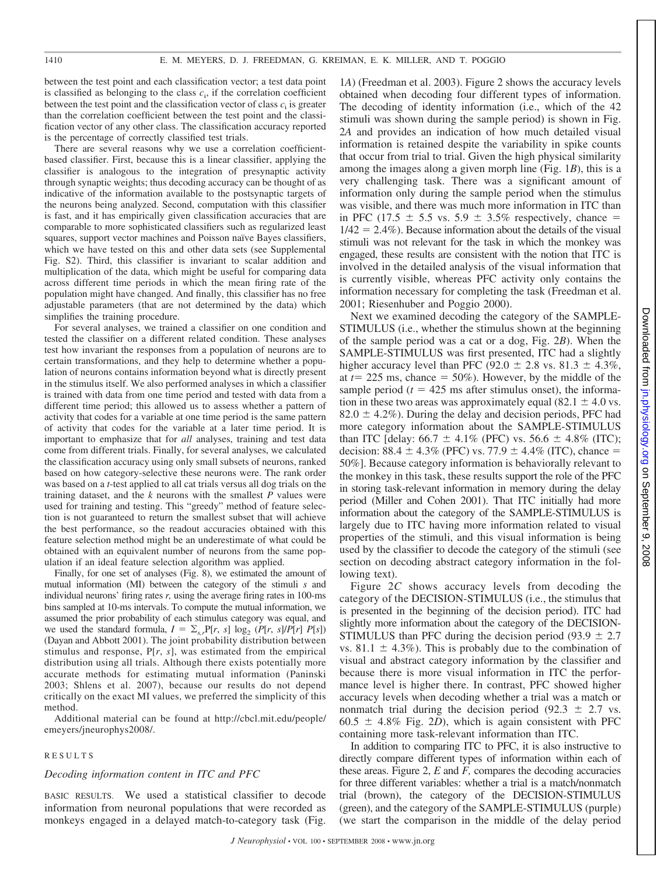between the test point and each classification vector; a test data point is classified as belonging to the class  $c_i$ , if the correlation coefficient between the test point and the classification vector of class  $c_i$  is greater than the correlation coefficient between the test point and the classification vector of any other class. The classification accuracy reported is the percentage of correctly classified test trials.

There are several reasons why we use a correlation coefficientbased classifier. First, because this is a linear classifier, applying the classifier is analogous to the integration of presynaptic activity through synaptic weights; thus decoding accuracy can be thought of as indicative of the information available to the postsynaptic targets of the neurons being analyzed. Second, computation with this classifier is fast, and it has empirically given classification accuracies that are comparable to more sophisticated classifiers such as regularized least squares, support vector machines and Poisson naïve Bayes classifiers, which we have tested on this and other data sets (see Supplemental Fig. S2). Third, this classifier is invariant to scalar addition and multiplication of the data, which might be useful for comparing data across different time periods in which the mean firing rate of the population might have changed. And finally, this classifier has no free adjustable parameters (that are not determined by the data) which simplifies the training procedure.

For several analyses, we trained a classifier on one condition and tested the classifier on a different related condition. These analyses test how invariant the responses from a population of neurons are to certain transformations, and they help to determine whether a population of neurons contains information beyond what is directly present in the stimulus itself. We also performed analyses in which a classifier is trained with data from one time period and tested with data from a different time period; this allowed us to assess whether a pattern of activity that codes for a variable at one time period is the same pattern of activity that codes for the variable at a later time period. It is important to emphasize that for *all* analyses, training and test data come from different trials. Finally, for several analyses, we calculated the classification accuracy using only small subsets of neurons, ranked based on how category-selective these neurons were. The rank order was based on a *t*-test applied to all cat trials versus all dog trials on the training dataset, and the *k* neurons with the smallest *P* values were used for training and testing. This "greedy" method of feature selection is not guaranteed to return the smallest subset that will achieve the best performance, so the readout accuracies obtained with this feature selection method might be an underestimate of what could be obtained with an equivalent number of neurons from the same population if an ideal feature selection algorithm was applied.

Finally, for one set of analyses (Fig. 8), we estimated the amount of mutual information (MI) between the category of the stimuli *s* and individual neurons' firing rates *r,* using the average firing rates in 100-ms bins sampled at 10-ms intervals. To compute the mutual information, we assumed the prior probability of each stimulus category was equal, and we used the standard formula,  $I = \sum_{s} P[r, s] \log_2 (P[r, s]/P[r] P[s])$ (Dayan and Abbott 2001). The joint probability distribution between stimulus and response, P[*r*, *s*], was estimated from the empirical distribution using all trials. Although there exists potentially more accurate methods for estimating mutual information (Paninski 2003; Shlens et al. 2007), because our results do not depend critically on the exact MI values, we preferred the simplicity of this method.

Additional material can be found at http://cbcl.mit.edu/people/ emeyers/jneurophys2008/.

## RESULTS

## *Decoding information content in ITC and PFC*

BASIC RESULTS. We used a statistical classifier to decode information from neuronal populations that were recorded as monkeys engaged in a delayed match-to-category task (Fig. 1*A*) (Freedman et al. 2003). Figure 2 shows the accuracy levels obtained when decoding four different types of information. The decoding of identity information (i.e., which of the 42 stimuli was shown during the sample period) is shown in Fig. 2*A* and provides an indication of how much detailed visual information is retained despite the variability in spike counts that occur from trial to trial. Given the high physical similarity among the images along a given morph line (Fig. 1*B*), this is a very challenging task. There was a significant amount of information only during the sample period when the stimulus was visible, and there was much more information in ITC than in PFC (17.5  $\pm$  5.5 vs. 5.9  $\pm$  3.5% respectively, chance =  $1/42 = 2.4\%$ ). Because information about the details of the visual stimuli was not relevant for the task in which the monkey was engaged, these results are consistent with the notion that ITC is involved in the detailed analysis of the visual information that is currently visible, whereas PFC activity only contains the information necessary for completing the task (Freedman et al. 2001; Riesenhuber and Poggio 2000).

Next we examined decoding the category of the SAMPLE-STIMULUS (i.e., whether the stimulus shown at the beginning of the sample period was a cat or a dog, Fig. 2*B*). When the SAMPLE-STIMULUS was first presented, ITC had a slightly higher accuracy level than PFC (92.0  $\pm$  2.8 vs. 81.3  $\pm$  4.3%, at  $t = 225$  ms, chance  $= 50\%$ ). However, by the middle of the sample period ( $t = 425$  ms after stimulus onset), the information in these two areas was approximately equal (82.1  $\pm$  4.0 vs. 82.0  $\pm$  4.2%). During the delay and decision periods, PFC had more category information about the SAMPLE-STIMULUS than ITC [delay: 66.7  $\pm$  4.1% (PFC) vs. 56.6  $\pm$  4.8% (ITC); decision: 88.4  $\pm$  4.3% (PFC) vs. 77.9  $\pm$  4.4% (ITC), chance = 50%]. Because category information is behaviorally relevant to the monkey in this task, these results support the role of the PFC in storing task-relevant information in memory during the delay period (Miller and Cohen 2001). That ITC initially had more information about the category of the SAMPLE-STIMULUS is largely due to ITC having more information related to visual properties of the stimuli, and this visual information is being used by the classifier to decode the category of the stimuli (see section on decoding abstract category information in the following text).

Figure 2*C* shows accuracy levels from decoding the category of the DECISION-STIMULUS (i.e., the stimulus that is presented in the beginning of the decision period). ITC had slightly more information about the category of the DECISION-STIMULUS than PFC during the decision period (93.9  $\pm$  2.7 vs. 81.1  $\pm$  4.3%). This is probably due to the combination of visual and abstract category information by the classifier and because there is more visual information in ITC the performance level is higher there. In contrast, PFC showed higher accuracy levels when decoding whether a trial was a match or nonmatch trial during the decision period (92.3  $\pm$  2.7 vs.  $60.5 \pm 4.8\%$  Fig. 2D), which is again consistent with PFC containing more task-relevant information than ITC.

In addition to comparing ITC to PFC, it is also instructive to directly compare different types of information within each of these areas. Figure 2, *E* and *F,* compares the decoding accuracies for three different variables: whether a trial is a match/nonmatch trial (brown), the category of the DECISION-STIMULUS (green), and the category of the SAMPLE-STIMULUS (purple) (we start the comparison in the middle of the delay period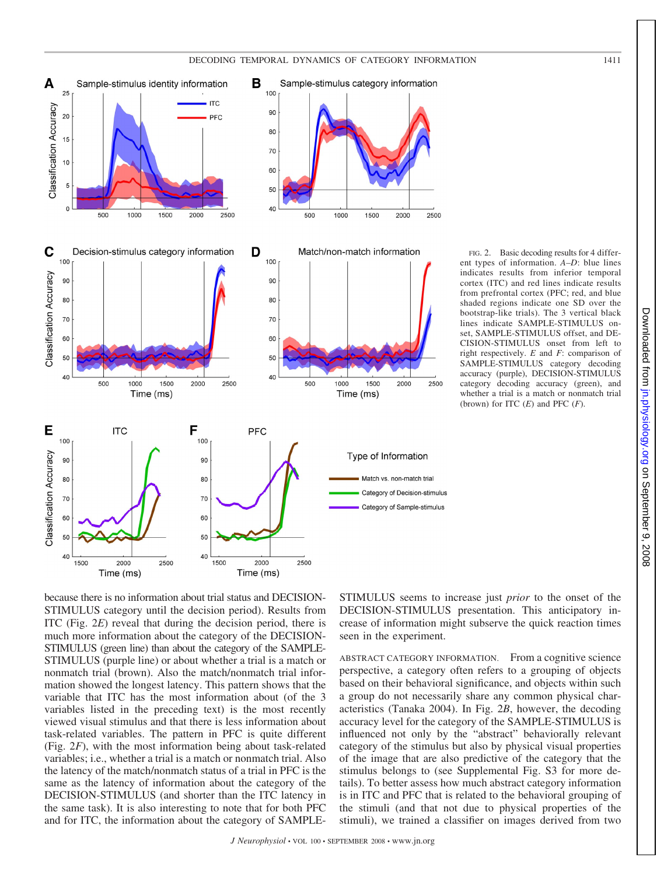

FIG. 2. Basic decoding results for 4 different types of information. *A–D*: blue lines indicates results from inferior temporal cortex (ITC) and red lines indicate results from prefrontal cortex (PFC; red, and blue shaded regions indicate one SD over the bootstrap-like trials). The 3 vertical black lines indicate SAMPLE-STIMULUS onset, SAMPLE-STIMULUS offset, and DE-CISION-STIMULUS onset from left to right respectively. *E* and *F*: comparison of SAMPLE-STIMULUS category decoding accuracy (purple), DECISION-STIMULUS category decoding accuracy (green), and whether a trial is a match or nonmatch trial (brown) for ITC  $(E)$  and PFC  $(F)$ .

because there is no information about trial status and DECISION-STIMULUS category until the decision period). Results from ITC (Fig. 2*E*) reveal that during the decision period, there is much more information about the category of the DECISION-STIMULUS (green line) than about the category of the SAMPLE-STIMULUS (purple line) or about whether a trial is a match or nonmatch trial (brown). Also the match/nonmatch trial information showed the longest latency. This pattern shows that the variable that ITC has the most information about (of the 3 variables listed in the preceding text) is the most recently viewed visual stimulus and that there is less information about task-related variables. The pattern in PFC is quite different (Fig. 2*F*), with the most information being about task-related variables; i.e., whether a trial is a match or nonmatch trial. Also the latency of the match/nonmatch status of a trial in PFC is the same as the latency of information about the category of the DECISION-STIMULUS (and shorter than the ITC latency in the same task). It is also interesting to note that for both PFC and for ITC, the information about the category of SAMPLE-

STIMULUS seems to increase just *prior* to the onset of the DECISION-STIMULUS presentation. This anticipatory increase of information might subserve the quick reaction times seen in the experiment.

ABSTRACT CATEGORY INFORMATION. From a cognitive science perspective, a category often refers to a grouping of objects based on their behavioral significance, and objects within such a group do not necessarily share any common physical characteristics (Tanaka 2004). In Fig. 2*B*, however, the decoding accuracy level for the category of the SAMPLE-STIMULUS is influenced not only by the "abstract" behaviorally relevant category of the stimulus but also by physical visual properties of the image that are also predictive of the category that the stimulus belongs to (see Supplemental Fig. S3 for more details). To better assess how much abstract category information is in ITC and PFC that is related to the behavioral grouping of the stimuli (and that not due to physical properties of the stimuli), we trained a classifier on images derived from two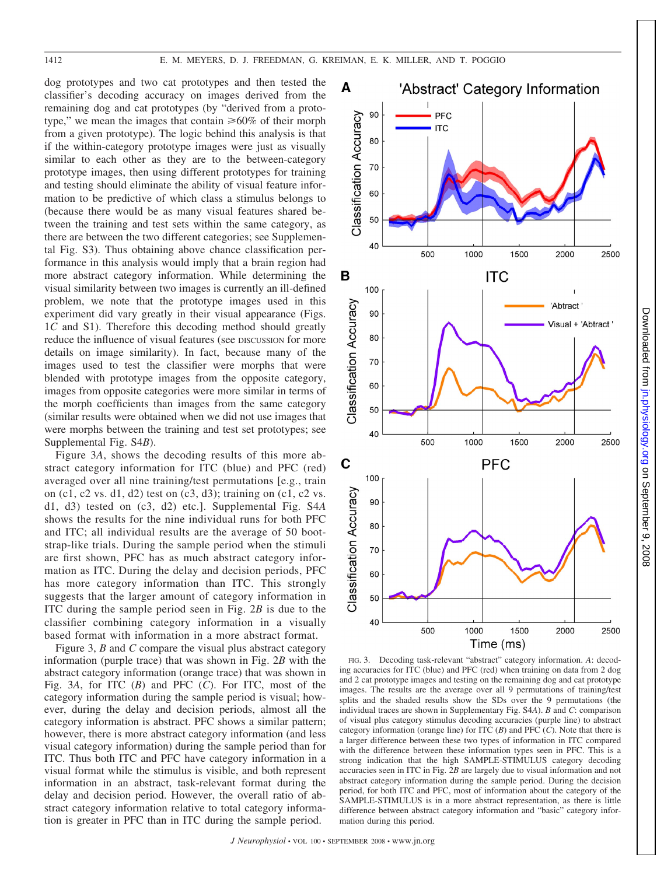dog prototypes and two cat prototypes and then tested the classifier's decoding accuracy on images derived from the remaining dog and cat prototypes (by "derived from a prototype," we mean the images that contain  $\geq 60\%$  of their morph from a given prototype). The logic behind this analysis is that if the within-category prototype images were just as visually similar to each other as they are to the between-category prototype images, then using different prototypes for training and testing should eliminate the ability of visual feature information to be predictive of which class a stimulus belongs to (because there would be as many visual features shared between the training and test sets within the same category, as there are between the two different categories; see Supplemental Fig. S3). Thus obtaining above chance classification performance in this analysis would imply that a brain region had more abstract category information. While determining the visual similarity between two images is currently an ill-defined problem, we note that the prototype images used in this experiment did vary greatly in their visual appearance (Figs. 1*C* and S1). Therefore this decoding method should greatly reduce the influence of visual features (see DISCUSSION for more details on image similarity). In fact, because many of the images used to test the classifier were morphs that were blended with prototype images from the opposite category, images from opposite categories were more similar in terms of the morph coefficients than images from the same category (similar results were obtained when we did not use images that were morphs between the training and test set prototypes; see Supplemental Fig. S4*B*).

Figure 3*A*, shows the decoding results of this more abstract category information for ITC (blue) and PFC (red) averaged over all nine training/test permutations [e.g., train on  $(c1, c2$  vs. d1, d2) test on  $(c3, d3)$ ; training on  $(c1, c2$  vs. d1, d3) tested on (c3, d2) etc.]. Supplemental Fig. S4*A* shows the results for the nine individual runs for both PFC and ITC; all individual results are the average of 50 bootstrap-like trials. During the sample period when the stimuli are first shown, PFC has as much abstract category information as ITC. During the delay and decision periods, PFC has more category information than ITC. This strongly suggests that the larger amount of category information in ITC during the sample period seen in Fig. 2*B* is due to the classifier combining category information in a visually based format with information in a more abstract format.

Figure 3, *B* and *C* compare the visual plus abstract category information (purple trace) that was shown in Fig. 2*B* with the abstract category information (orange trace) that was shown in Fig. 3*A*, for ITC (*B*) and PFC (*C*). For ITC, most of the category information during the sample period is visual; however, during the delay and decision periods, almost all the category information is abstract. PFC shows a similar pattern; however, there is more abstract category information (and less visual category information) during the sample period than for ITC. Thus both ITC and PFC have category information in a visual format while the stimulus is visible, and both represent information in an abstract, task-relevant format during the delay and decision period. However, the overall ratio of abstract category information relative to total category information is greater in PFC than in ITC during the sample period.



'Abstract' Category Information

ing accuracies for ITC (blue) and PFC (red) when training on data from 2 dog and 2 cat prototype images and testing on the remaining dog and cat prototype images. The results are the average over all 9 permutations of training/test splits and the shaded results show the SDs over the 9 permutations (the individual traces are shown in Supplementary Fig. S4*A*). *B* and *C*: comparison of visual plus category stimulus decoding accuracies (purple line) to abstract category information (orange line) for ITC (*B*) and PFC (*C*). Note that there is a larger difference between these two types of information in ITC compared with the difference between these information types seen in PFC. This is a strong indication that the high SAMPLE-STIMULUS category decoding accuracies seen in ITC in Fig. 2*B* are largely due to visual information and not abstract category information during the sample period. During the decision period, for both ITC and PFC, most of information about the category of the SAMPLE-STIMULUS is in a more abstract representation, as there is little difference between abstract category information and "basic" category information during this period.

A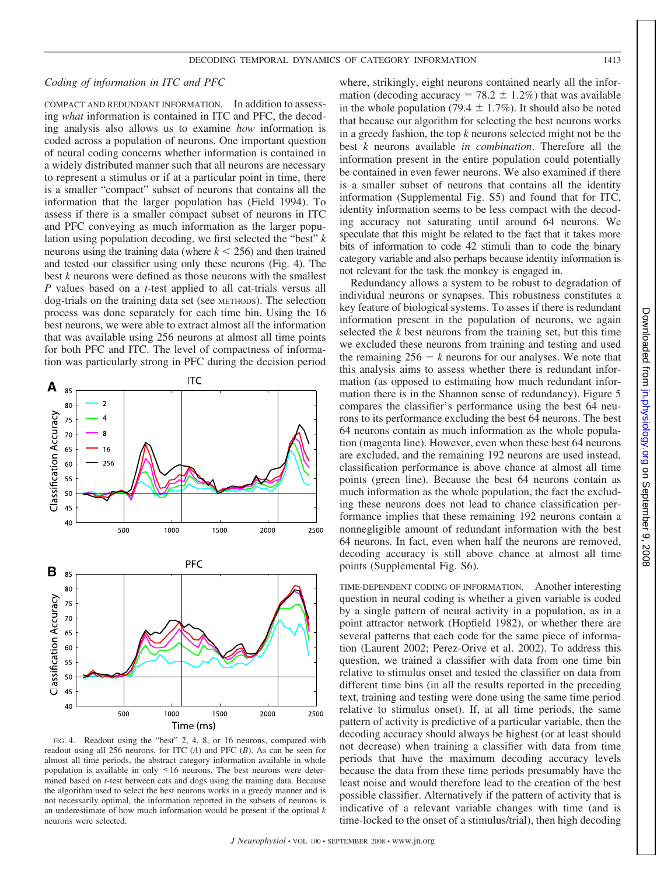# *Coding of information in ITC and PFC*

COMPACT AND REDUNDANT INFORMATION. In addition to assessing *what* information is contained in ITC and PFC, the decoding analysis also allows us to examine *how* information is coded across a population of neurons. One important question of neural coding concerns whether information is contained in a widely distributed manner such that all neurons are necessary to represent a stimulus or if at a particular point in time, there is a smaller "compact" subset of neurons that contains all the information that the larger population has (Field 1994). To assess if there is a smaller compact subset of neurons in ITC and PFC conveying as much information as the larger population using population decoding, we first selected the "best" *k* neurons using the training data (where  $k < 256$ ) and then trained and tested our classifier using only these neurons (Fig. 4). The best *k* neurons were defined as those neurons with the smallest *P* values based on a *t*-test applied to all cat-trials versus all dog-trials on the training data set (see METHODS). The selection process was done separately for each time bin. Using the 16 best neurons, we were able to extract almost all the information that was available using 256 neurons at almost all time points for both PFC and ITC. The level of compactness of information was particularly strong in PFC during the decision period



FIG. 4. Readout using the "best" 2, 4, 8, or 16 neurons, compared with readout using all 256 neurons, for ITC (*A*) and PFC (*B*). As can be seen for almost all time periods, the abstract category information available in whole population is available in only  $\leq 16$  neurons. The best neurons were determined based on *t*-test between cats and dogs using the training data. Because the algorithm used to select the best neurons works in a greedy manner and is not necessarily optimal, the information reported in the subsets of neurons is an underestimate of how much information would be present if the optimal *k* neurons were selected.

where, strikingly, eight neurons contained nearly all the information (decoding accuracy = 78.2  $\pm$  1.2%) that was available in the whole population (79.4  $\pm$  1.7%). It should also be noted that because our algorithm for selecting the best neurons works in a greedy fashion, the top *k* neurons selected might not be the best *k* neurons available *in combination*. Therefore all the information present in the entire population could potentially be contained in even fewer neurons. We also examined if there is a smaller subset of neurons that contains all the identity information (Supplemental Fig. S5) and found that for ITC, identity information seems to be less compact with the decoding accuracy not saturating until around 64 neurons. We speculate that this might be related to the fact that it takes more bits of information to code 42 stimuli than to code the binary category variable and also perhaps because identity information is not relevant for the task the monkey is engaged in.

Redundancy allows a system to be robust to degradation of individual neurons or synapses. This robustness constitutes a key feature of biological systems. To asses if there is redundant information present in the population of neurons, we again selected the *k* best neurons from the training set, but this time we excluded these neurons from training and testing and used the remaining  $256 - k$  neurons for our analyses. We note that this analysis aims to assess whether there is redundant information (as opposed to estimating how much redundant information there is in the Shannon sense of redundancy). Figure 5 compares the classifier's performance using the best 64 neurons to its performance excluding the best 64 neurons. The best 64 neurons contain as much information as the whole population (magenta line). However, even when these best 64 neurons are excluded, and the remaining 192 neurons are used instead, classification performance is above chance at almost all time points (green line). Because the best 64 neurons contain as much information as the whole population, the fact the excluding these neurons does not lead to chance classification performance implies that these remaining 192 neurons contain a nonnegligible amount of redundant information with the best 64 neurons. In fact, even when half the neurons are removed, decoding accuracy is still above chance at almost all time points (Supplemental Fig. S6).

TIME-DEPENDENT CODING OF INFORMATION. Another interesting question in neural coding is whether a given variable is coded by a single pattern of neural activity in a population, as in a point attractor network (Hopfield 1982), or whether there are several patterns that each code for the same piece of information (Laurent 2002; Perez-Orive et al. 2002). To address this question, we trained a classifier with data from one time bin relative to stimulus onset and tested the classifier on data from different time bins (in all the results reported in the preceding text, training and testing were done using the same time period relative to stimulus onset). If, at all time periods, the same pattern of activity is predictive of a particular variable, then the decoding accuracy should always be highest (or at least should not decrease) when training a classifier with data from time periods that have the maximum decoding accuracy levels because the data from these time periods presumably have the least noise and would therefore lead to the creation of the best possible classifier. Alternatively if the pattern of activity that is indicative of a relevant variable changes with time (and is time-locked to the onset of a stimulus/trial), then high decoding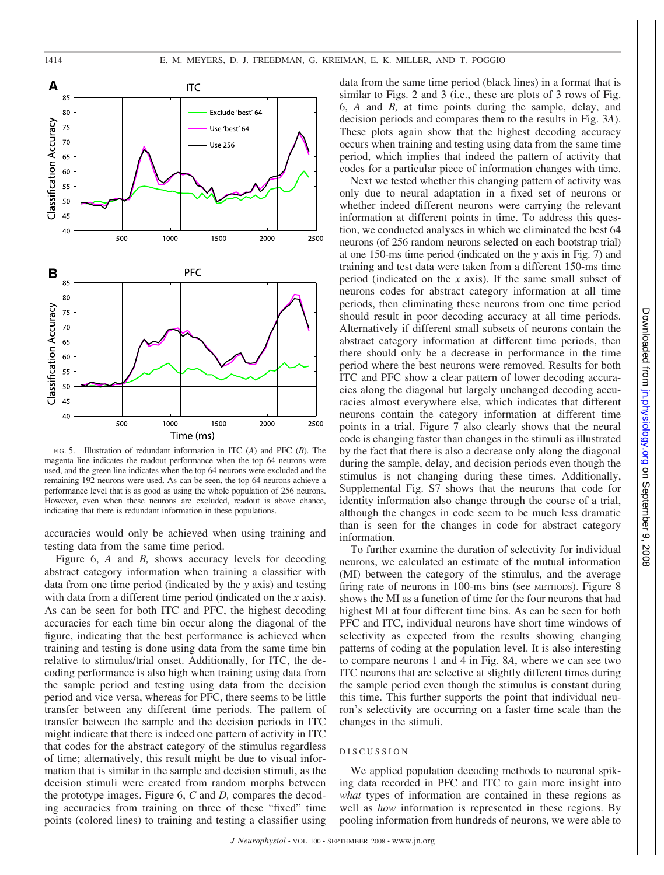

FIG. 5. Illustration of redundant information in ITC (*A*) and PFC (*B*). The magenta line indicates the readout performance when the top 64 neurons were used, and the green line indicates when the top 64 neurons were excluded and the remaining 192 neurons were used. As can be seen, the top 64 neurons achieve a performance level that is as good as using the whole population of 256 neurons. However, even when these neurons are excluded, readout is above chance, indicating that there is redundant information in these populations.

accuracies would only be achieved when using training and testing data from the same time period.

Figure 6, *A* and *B,* shows accuracy levels for decoding abstract category information when training a classifier with data from one time period (indicated by the *y* axis) and testing with data from a different time period (indicated on the *x* axis). As can be seen for both ITC and PFC, the highest decoding accuracies for each time bin occur along the diagonal of the figure, indicating that the best performance is achieved when training and testing is done using data from the same time bin relative to stimulus/trial onset. Additionally, for ITC, the decoding performance is also high when training using data from the sample period and testing using data from the decision period and vice versa, whereas for PFC, there seems to be little transfer between any different time periods. The pattern of transfer between the sample and the decision periods in ITC might indicate that there is indeed one pattern of activity in ITC that codes for the abstract category of the stimulus regardless of time; alternatively, this result might be due to visual information that is similar in the sample and decision stimuli, as the decision stimuli were created from random morphs between the prototype images. Figure 6, *C* and *D,* compares the decoding accuracies from training on three of these "fixed" time points (colored lines) to training and testing a classifier using

data from the same time period (black lines) in a format that is similar to Figs. 2 and 3 (i.e., these are plots of 3 rows of Fig. 6, *A* and *B,* at time points during the sample, delay, and decision periods and compares them to the results in Fig. 3*A*). These plots again show that the highest decoding accuracy occurs when training and testing using data from the same time period, which implies that indeed the pattern of activity that codes for a particular piece of information changes with time.

Next we tested whether this changing pattern of activity was only due to neural adaptation in a fixed set of neurons or whether indeed different neurons were carrying the relevant information at different points in time. To address this question, we conducted analyses in which we eliminated the best 64 neurons (of 256 random neurons selected on each bootstrap trial) at one 150-ms time period (indicated on the *y* axis in Fig. 7) and training and test data were taken from a different 150-ms time period (indicated on the *x* axis). If the same small subset of neurons codes for abstract category information at all time periods, then eliminating these neurons from one time period should result in poor decoding accuracy at all time periods. Alternatively if different small subsets of neurons contain the abstract category information at different time periods, then there should only be a decrease in performance in the time period where the best neurons were removed. Results for both ITC and PFC show a clear pattern of lower decoding accuracies along the diagonal but largely unchanged decoding accuracies almost everywhere else, which indicates that different neurons contain the category information at different time points in a trial. Figure 7 also clearly shows that the neural code is changing faster than changes in the stimuli as illustrated by the fact that there is also a decrease only along the diagonal during the sample, delay, and decision periods even though the stimulus is not changing during these times. Additionally, Supplemental Fig. S7 shows that the neurons that code for identity information also change through the course of a trial, although the changes in code seem to be much less dramatic than is seen for the changes in code for abstract category information.

To further examine the duration of selectivity for individual neurons, we calculated an estimate of the mutual information (MI) between the category of the stimulus, and the average firing rate of neurons in 100-ms bins (see METHODS). Figure 8 shows the MI as a function of time for the four neurons that had highest MI at four different time bins. As can be seen for both PFC and ITC, individual neurons have short time windows of selectivity as expected from the results showing changing patterns of coding at the population level. It is also interesting to compare neurons 1 and 4 in Fig. 8*A*, where we can see two ITC neurons that are selective at slightly different times during the sample period even though the stimulus is constant during this time. This further supports the point that individual neuron's selectivity are occurring on a faster time scale than the changes in the stimuli.

## DISCUSSION

We applied population decoding methods to neuronal spiking data recorded in PFC and ITC to gain more insight into *what* types of information are contained in these regions as well as *how* information is represented in these regions. By pooling information from hundreds of neurons, we were able to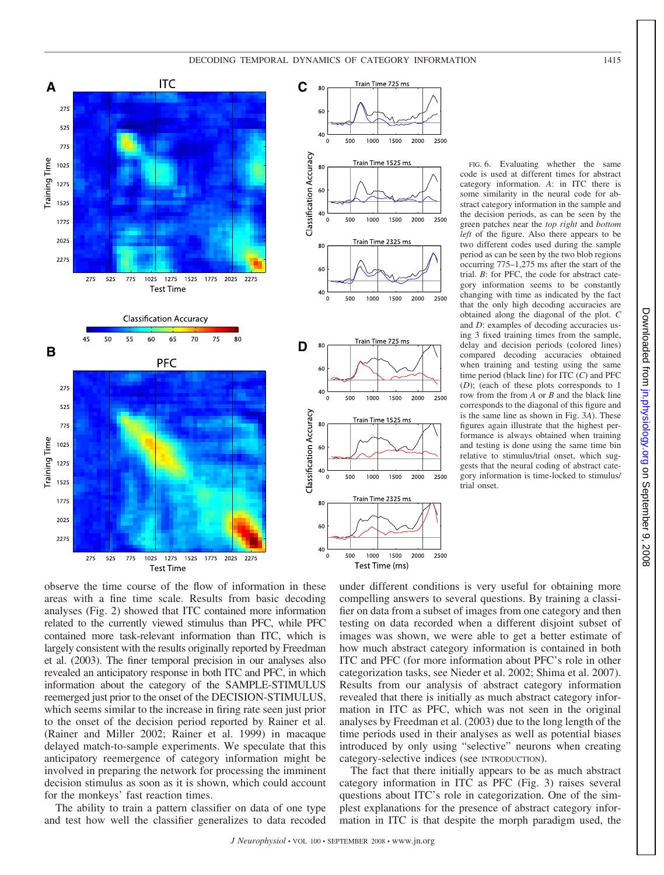



FIG. 6. Evaluating whether the same code is used at different times for abstract category information. *A*: in ITC there is some similarity in the neural code for abstract category information in the sample and the decision periods, as can be seen by the green patches near the *top right* and *bottom left* of the figure. Also there appears to be two different codes used during the sample period as can be seen by the two blob regions occurring 775–1,275 ms after the start of the trial. *B*: for PFC, the code for abstract category information seems to be constantly changing with time as indicated by the fact that the only high decoding accuracies are obtained along the diagonal of the plot. *C* and *D*: examples of decoding accuracies using 3 fixed training times from the sample, delay and decision periods (colored lines) compared decoding accuracies obtained when training and testing using the same time period (black line) for ITC (*C*) and PFC (*D*); (each of these plots corresponds to 1 row from the from *A* or *B* and the black line corresponds to the diagonal of this figure and is the same line as shown in Fig. 3*A*). These figures again illustrate that the highest performance is always obtained when training and testing is done using the same time bin relative to stimulus/trial onset, which suggests that the neural coding of abstract category information is time-locked to stimulus/ trial onset.

observe the time course of the flow of information in these areas with a fine time scale. Results from basic decoding analyses (Fig. 2) showed that ITC contained more information related to the currently viewed stimulus than PFC, while PFC contained more task-relevant information than ITC, which is largely consistent with the results originally reported by Freedman et al. (2003). The finer temporal precision in our analyses also revealed an anticipatory response in both ITC and PFC, in which information about the category of the SAMPLE-STIMULUS reemerged just prior to the onset of the DECISION-STIMULUS, which seems similar to the increase in firing rate seen just prior to the onset of the decision period reported by Rainer et al. (Rainer and Miller 2002; Rainer et al. 1999) in macaque delayed match-to-sample experiments. We speculate that this anticipatory reemergence of category information might be involved in preparing the network for processing the imminent decision stimulus as soon as it is shown, which could account for the monkeys' fast reaction times.

The ability to train a pattern classifier on data of one type and test how well the classifier generalizes to data recoded under different conditions is very useful for obtaining more compelling answers to several questions. By training a classifier on data from a subset of images from one category and then testing on data recorded when a different disjoint subset of images was shown, we were able to get a better estimate of how much abstract category information is contained in both ITC and PFC (for more information about PFC's role in other categorization tasks, see Nieder et al. 2002; Shima et al. 2007). Results from our analysis of abstract category information revealed that there is initially as much abstract category information in ITC as PFC, which was not seen in the original analyses by Freedman et al. (2003) due to the long length of the time periods used in their analyses as well as potential biases introduced by only using "selective" neurons when creating category-selective indices (see INTRODUCTION).

The fact that there initially appears to be as much abstract category information in ITC as PFC (Fig. 3) raises several questions about ITC's role in categorization. One of the simplest explanations for the presence of abstract category information in ITC is that despite the morph paradigm used, the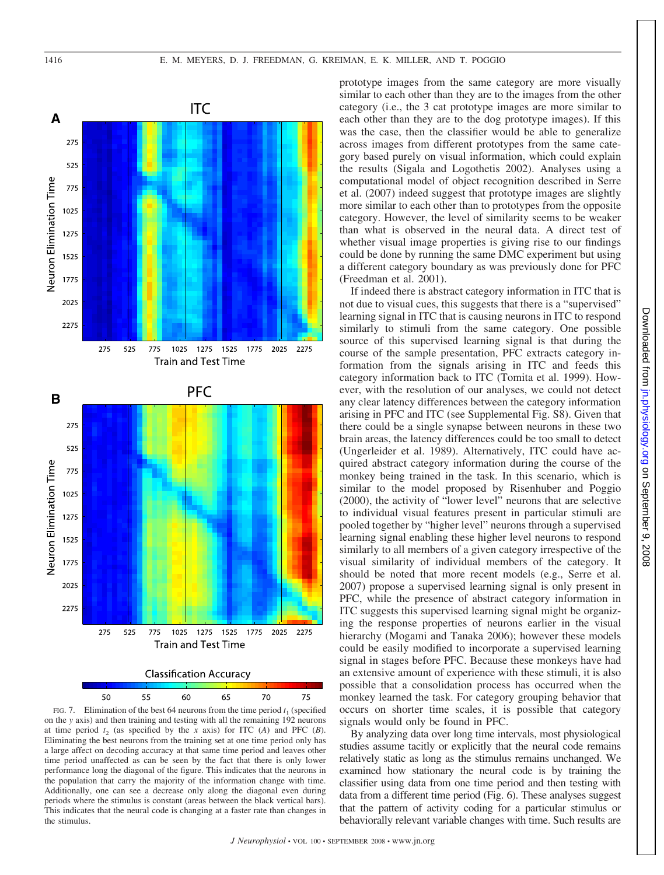

50 55 60 65 70 75 FIG. 7. Elimination of the best 64 neurons from the time period  $t_1$  (specified

on the *y* axis) and then training and testing with all the remaining 192 neurons at time period  $t_2$  (as specified by the *x* axis) for ITC (*A*) and PFC (*B*). Eliminating the best neurons from the training set at one time period only has a large affect on decoding accuracy at that same time period and leaves other time period unaffected as can be seen by the fact that there is only lower performance long the diagonal of the figure. This indicates that the neurons in the population that carry the majority of the information change with time. Additionally, one can see a decrease only along the diagonal even during periods where the stimulus is constant (areas between the black vertical bars). This indicates that the neural code is changing at a faster rate than changes in the stimulus.

prototype images from the same category are more visually similar to each other than they are to the images from the other category (i.e., the 3 cat prototype images are more similar to each other than they are to the dog prototype images). If this was the case, then the classifier would be able to generalize across images from different prototypes from the same category based purely on visual information, which could explain the results (Sigala and Logothetis 2002). Analyses using a computational model of object recognition described in Serre et al. (2007) indeed suggest that prototype images are slightly more similar to each other than to prototypes from the opposite category. However, the level of similarity seems to be weaker than what is observed in the neural data. A direct test of whether visual image properties is giving rise to our findings could be done by running the same DMC experiment but using a different category boundary as was previously done for PFC (Freedman et al. 2001).

If indeed there is abstract category information in ITC that is not due to visual cues, this suggests that there is a "supervised" learning signal in ITC that is causing neurons in ITC to respond similarly to stimuli from the same category. One possible source of this supervised learning signal is that during the course of the sample presentation, PFC extracts category information from the signals arising in ITC and feeds this category information back to ITC (Tomita et al. 1999). However, with the resolution of our analyses, we could not detect any clear latency differences between the category information arising in PFC and ITC (see Supplemental Fig. S8). Given that there could be a single synapse between neurons in these two brain areas, the latency differences could be too small to detect (Ungerleider et al. 1989). Alternatively, ITC could have acquired abstract category information during the course of the monkey being trained in the task. In this scenario, which is similar to the model proposed by Risenhuber and Poggio (2000), the activity of "lower level" neurons that are selective to individual visual features present in particular stimuli are pooled together by "higher level" neurons through a supervised learning signal enabling these higher level neurons to respond similarly to all members of a given category irrespective of the visual similarity of individual members of the category. It should be noted that more recent models (e.g., Serre et al. 2007) propose a supervised learning signal is only present in PFC, while the presence of abstract category information in ITC suggests this supervised learning signal might be organizing the response properties of neurons earlier in the visual hierarchy (Mogami and Tanaka 2006); however these models could be easily modified to incorporate a supervised learning signal in stages before PFC. Because these monkeys have had an extensive amount of experience with these stimuli, it is also possible that a consolidation process has occurred when the monkey learned the task. For category grouping behavior that occurs on shorter time scales, it is possible that category signals would only be found in PFC.

By analyzing data over long time intervals, most physiological studies assume tacitly or explicitly that the neural code remains relatively static as long as the stimulus remains unchanged. We examined how stationary the neural code is by training the classifier using data from one time period and then testing with data from a different time period (Fig. 6). These analyses suggest that the pattern of activity coding for a particular stimulus or behaviorally relevant variable changes with time. Such results are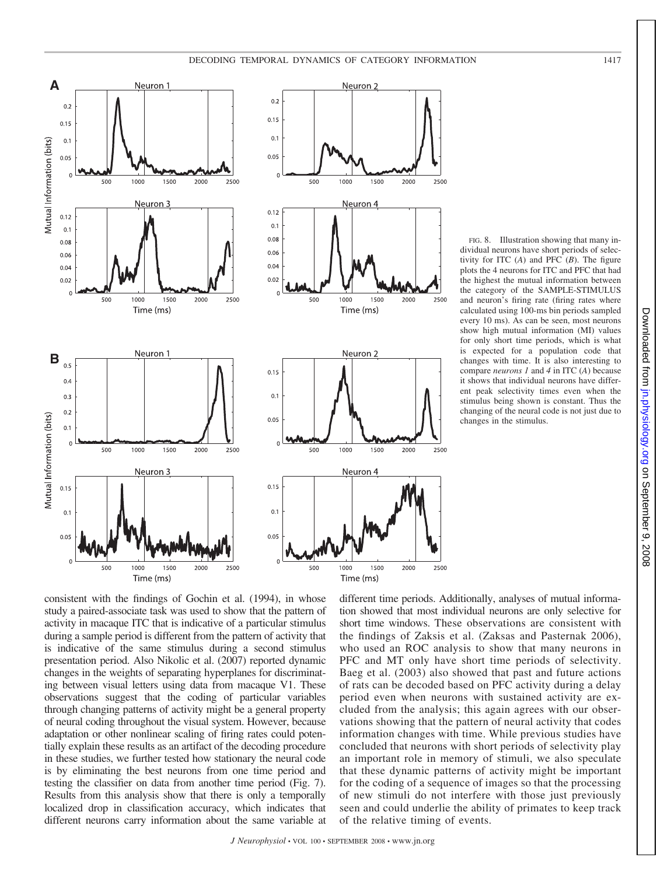### DECODING TEMPORAL DYNAMICS OF CATEGORY INFORMATION 1417



different time periods. Additionally, analyses of mutual information showed that most individual neurons are only selective for short time windows. These observations are consistent with the findings of Zaksis et al. (Zaksas and Pasternak 2006), who used an ROC analysis to show that many neurons in PFC and MT only have short time periods of selectivity. Baeg et al. (2003) also showed that past and future actions of rats can be decoded based on PFC activity during a delay period even when neurons with sustained activity are excluded from the analysis; this again agrees with our observations showing that the pattern of neural activity that codes information changes with time. While previous studies have concluded that neurons with short periods of selectivity play an important role in memory of stimuli, we also speculate that these dynamic patterns of activity might be important for the coding of a sequence of images so that the processing of new stimuli do not interfere with those just previously seen and could underlie the ability of primates to keep track of the relative timing of events.



consistent with the findings of Gochin et al. (1994), in whose study a paired-associate task was used to show that the pattern of activity in macaque ITC that is indicative of a particular stimulus during a sample period is different from the pattern of activity that is indicative of the same stimulus during a second stimulus presentation period. Also Nikolic et al. (2007) reported dynamic changes in the weights of separating hyperplanes for discriminating between visual letters using data from macaque V1. These

FIG. 8. Illustration showing that many in-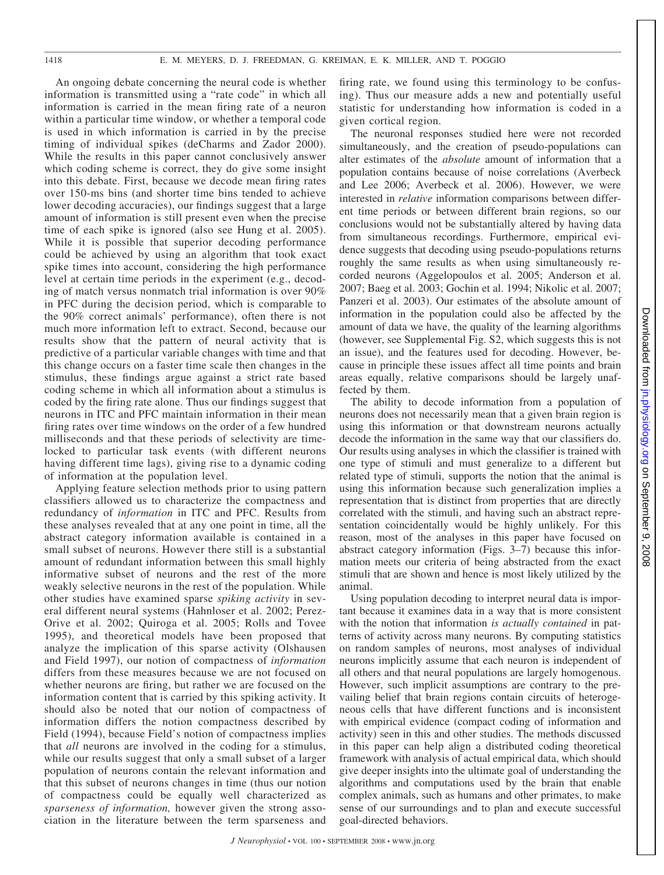An ongoing debate concerning the neural code is whether information is transmitted using a "rate code" in which all information is carried in the mean firing rate of a neuron within a particular time window, or whether a temporal code is used in which information is carried in by the precise timing of individual spikes (deCharms and Zador 2000). While the results in this paper cannot conclusively answer which coding scheme is correct, they do give some insight into this debate. First, because we decode mean firing rates over 150-ms bins (and shorter time bins tended to achieve lower decoding accuracies), our findings suggest that a large amount of information is still present even when the precise time of each spike is ignored (also see Hung et al. 2005). While it is possible that superior decoding performance could be achieved by using an algorithm that took exact spike times into account, considering the high performance level at certain time periods in the experiment (e.g., decoding of match versus nonmatch trial information is over 90% in PFC during the decision period, which is comparable to the 90% correct animals' performance), often there is not much more information left to extract. Second, because our results show that the pattern of neural activity that is predictive of a particular variable changes with time and that this change occurs on a faster time scale then changes in the stimulus, these findings argue against a strict rate based coding scheme in which all information about a stimulus is coded by the firing rate alone. Thus our findings suggest that neurons in ITC and PFC maintain information in their mean firing rates over time windows on the order of a few hundred milliseconds and that these periods of selectivity are timelocked to particular task events (with different neurons having different time lags), giving rise to a dynamic coding of information at the population level.

Applying feature selection methods prior to using pattern classifiers allowed us to characterize the compactness and redundancy of *information* in ITC and PFC. Results from these analyses revealed that at any one point in time, all the abstract category information available is contained in a small subset of neurons. However there still is a substantial amount of redundant information between this small highly informative subset of neurons and the rest of the more weakly selective neurons in the rest of the population. While other studies have examined sparse *spiking activity* in several different neural systems (Hahnloser et al. 2002; Perez-Orive et al. 2002; Quiroga et al. 2005; Rolls and Tovee 1995), and theoretical models have been proposed that analyze the implication of this sparse activity (Olshausen and Field 1997), our notion of compactness of *information* differs from these measures because we are not focused on whether neurons are firing, but rather we are focused on the information content that is carried by this spiking activity. It should also be noted that our notion of compactness of information differs the notion compactness described by Field (1994), because Field's notion of compactness implies that *all* neurons are involved in the coding for a stimulus, while our results suggest that only a small subset of a larger population of neurons contain the relevant information and that this subset of neurons changes in time (thus our notion of compactness could be equally well characterized as *sparseness of information,* however given the strong association in the literature between the term sparseness and

firing rate, we found using this terminology to be confusing). Thus our measure adds a new and potentially useful statistic for understanding how information is coded in a given cortical region.

The neuronal responses studied here were not recorded simultaneously, and the creation of pseudo-populations can alter estimates of the *absolute* amount of information that a population contains because of noise correlations (Averbeck and Lee 2006; Averbeck et al. 2006). However, we were interested in *relative* information comparisons between different time periods or between different brain regions, so our conclusions would not be substantially altered by having data from simultaneous recordings. Furthermore, empirical evidence suggests that decoding using pseudo-populations returns roughly the same results as when using simultaneously recorded neurons (Aggelopoulos et al. 2005; Anderson et al. 2007; Baeg et al. 2003; Gochin et al. 1994; Nikolic et al. 2007; Panzeri et al. 2003). Our estimates of the absolute amount of information in the population could also be affected by the amount of data we have, the quality of the learning algorithms (however, see Supplemental Fig. S2, which suggests this is not an issue), and the features used for decoding. However, because in principle these issues affect all time points and brain areas equally, relative comparisons should be largely unaffected by them.

The ability to decode information from a population of neurons does not necessarily mean that a given brain region is using this information or that downstream neurons actually decode the information in the same way that our classifiers do. Our results using analyses in which the classifier is trained with one type of stimuli and must generalize to a different but related type of stimuli, supports the notion that the animal is using this information because such generalization implies a representation that is distinct from properties that are directly correlated with the stimuli, and having such an abstract representation coincidentally would be highly unlikely. For this reason, most of the analyses in this paper have focused on abstract category information (Figs. 3–7) because this information meets our criteria of being abstracted from the exact stimuli that are shown and hence is most likely utilized by the animal.

Using population decoding to interpret neural data is important because it examines data in a way that is more consistent with the notion that information *is actually contained* in patterns of activity across many neurons. By computing statistics on random samples of neurons, most analyses of individual neurons implicitly assume that each neuron is independent of all others and that neural populations are largely homogenous. However, such implicit assumptions are contrary to the prevailing belief that brain regions contain circuits of heterogeneous cells that have different functions and is inconsistent with empirical evidence (compact coding of information and activity) seen in this and other studies. The methods discussed in this paper can help align a distributed coding theoretical framework with analysis of actual empirical data, which should give deeper insights into the ultimate goal of understanding the algorithms and computations used by the brain that enable complex animals, such as humans and other primates, to make sense of our surroundings and to plan and execute successful goal-directed behaviors.